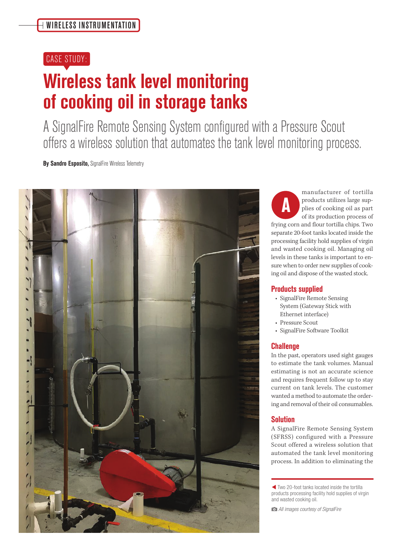## CASE STUDY:

# **Wireless tank level monitoring of cooking oil in storage tanks**

A SignalFire Remote Sensing System configured with a Pressure Scout offers a wireless solution that automates the tank level monitoring process.

**By Sandro Esposito,** SignalFire Wireless Telemetry



manufacturer of tortilla products utilizes large supplies of cooking oil as part of its production process of frying corn and flour tortilla chips. Two separate 20-foot tanks located inside the processing facility hold supplies of virgin and wasted cooking oil. Managing oil levels in these tanks is important to ensure when to order new supplies of cooking oil and dispose of the wasted stock. **A**

### **Products supplied**

- SignalFire Remote Sensing System (Gateway Stick with Ethernet interface)
- Pressure Scout
- SignalFire Software Toolkit

#### **Challenge**

In the past, operators used sight gauges to estimate the tank volumes. Manual estimating is not an accurate science and requires frequent follow up to stay current on tank levels. The customer wanted a method to automate the ordering and removal of their oil consumables.

### **Solution**

A SignalFire Remote Sensing System (SFRSS) configured with a Pressure Scout offered a wireless solution that automated the tank level monitoring process. In addition to eliminating the

W Two 20-foot tanks located inside the tortilla products processing facility hold supplies of virgin and wasted cooking oil.

All images courtesy of SignalFire